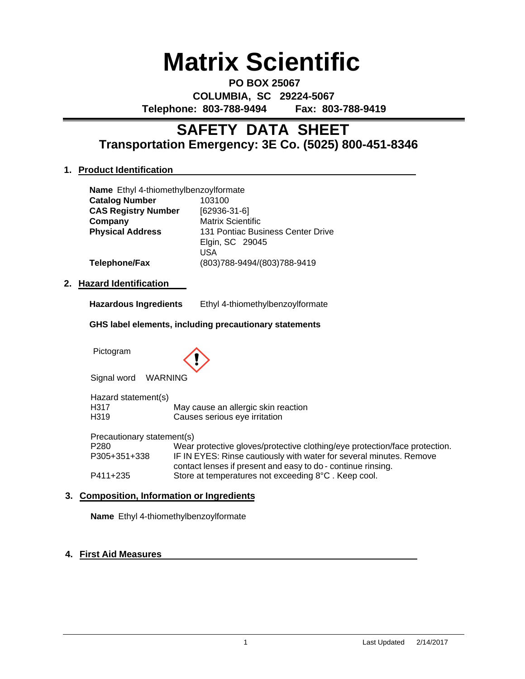# **Matrix Scientific**

**PO BOX 25067 COLUMBIA, SC 29224-5067 Telephone: 803-788-9494 Fax: 803-788-9419**

# **Transportation Emergency: 3E Co. (5025) 800-451-8346 SAFETY DATA SHEET**

# **1. Product Identification**

|                            | <b>Name</b> Ethyl 4-thiomethylbenzoylformate           |                                                             |  |
|----------------------------|--------------------------------------------------------|-------------------------------------------------------------|--|
| <b>Catalog Number</b>      |                                                        | 103100                                                      |  |
| <b>CAS Registry Number</b> |                                                        | [62936-31-6]                                                |  |
| Company                    |                                                        | Matrix Scientific                                           |  |
| <b>Physical Address</b>    |                                                        | 131 Pontiac Business Center Drive<br>Elgin, SC 29045<br>USA |  |
|                            | Telephone/Fax                                          | (803)788-9494/(803)788-9419                                 |  |
|                            | 2. Hazard Identification                               |                                                             |  |
|                            | <b>Hazardous Ingredients</b>                           | Ethyl 4-thiomethylbenzoylformate                            |  |
|                            | GHS label elements, including precautionary statements |                                                             |  |

Pictogram



Signal word WARNING

| Hazard statement(s)        |                                                                            |
|----------------------------|----------------------------------------------------------------------------|
| H317                       | May cause an allergic skin reaction                                        |
| H319                       | Causes serious eye irritation                                              |
| Precautionary statement(s) |                                                                            |
| P280                       | Wear protective gloves/protective clothing/eye protection/face protection. |
| P305+351+338               | IF IN EYES: Rinse cautiously with water for several minutes. Remove        |
|                            | contact lenses if present and easy to do - continue rinsing.               |

P411+235 Store at temperatures not exceeding 8°C. Keep cool.

# **3. Composition, Information or Ingredients**

**Name** Ethyl 4-thiomethylbenzoylformate

# **4. First Aid Measures**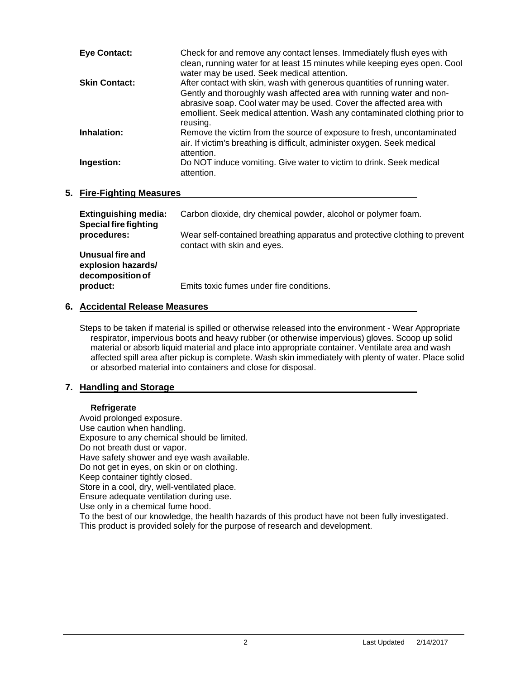| <b>Eye Contact:</b>  | Check for and remove any contact lenses. Immediately flush eyes with<br>clean, running water for at least 15 minutes while keeping eyes open. Cool<br>water may be used. Seek medical attention.                                                                                                                  |
|----------------------|-------------------------------------------------------------------------------------------------------------------------------------------------------------------------------------------------------------------------------------------------------------------------------------------------------------------|
| <b>Skin Contact:</b> | After contact with skin, wash with generous quantities of running water.<br>Gently and thoroughly wash affected area with running water and non-<br>abrasive soap. Cool water may be used. Cover the affected area with<br>emollient. Seek medical attention. Wash any contaminated clothing prior to<br>reusing. |
| Inhalation:          | Remove the victim from the source of exposure to fresh, uncontaminated<br>air. If victim's breathing is difficult, administer oxygen. Seek medical<br>attention.                                                                                                                                                  |
| Ingestion:           | Do NOT induce vomiting. Give water to victim to drink. Seek medical<br>attention.                                                                                                                                                                                                                                 |

# **5. Fire-Fighting Measures**

| <b>Extinguishing media:</b><br><b>Special fire fighting</b> | Carbon dioxide, dry chemical powder, alcohol or polymer foam.                                             |
|-------------------------------------------------------------|-----------------------------------------------------------------------------------------------------------|
| procedures:                                                 | Wear self-contained breathing apparatus and protective clothing to prevent<br>contact with skin and eyes. |
| Unusual fire and<br>explosion hazards/<br>decomposition of  |                                                                                                           |
| product:                                                    | Emits toxic fumes under fire conditions.                                                                  |

# **6. Accidental Release Measures**

Steps to be taken if material is spilled or otherwise released into the environment - Wear Appropriate respirator, impervious boots and heavy rubber (or otherwise impervious) gloves. Scoop up solid material or absorb liquid material and place into appropriate container. Ventilate area and wash affected spill area after pickup is complete. Wash skin immediately with plenty of water. Place solid or absorbed material into containers and close for disposal.

# **7. Handling and Storage**

#### **Refrigerate**

Avoid prolonged exposure. Use caution when handling. Exposure to any chemical should be limited. Do not breath dust or vapor. Have safety shower and eye wash available. Do not get in eyes, on skin or on clothing. Keep container tightly closed. Store in a cool, dry, well-ventilated place. Ensure adequate ventilation during use. Use only in a chemical fume hood. To the best of our knowledge, the health hazards of this product have not been fully investigated. This product is provided solely for the purpose of research and development.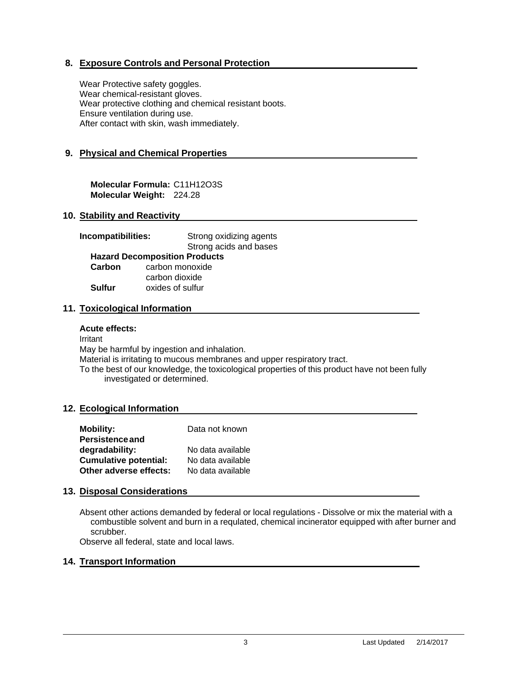# **8. Exposure Controls and Personal Protection**

Wear Protective safety goggles. Wear chemical-resistant gloves. Wear protective clothing and chemical resistant boots. Ensure ventilation during use. After contact with skin, wash immediately.

# **9. Physical and Chemical Properties**

**Molecular Formula:** C11H12O3S **Molecular Weight:** 224.28

#### **10. Stability and Reactivity**

| Incompatibilities:                   | Strong oxidizing agents |  |  |  |
|--------------------------------------|-------------------------|--|--|--|
|                                      | Strong acids and bases  |  |  |  |
| <b>Hazard Decomposition Products</b> |                         |  |  |  |
| Carbon                               | carbon monoxide         |  |  |  |
|                                      | carbon dioxide          |  |  |  |
| Sulfur                               | oxides of sulfur        |  |  |  |

#### **11. Toxicological Information**

#### **Acute effects:**

Irritant May be harmful by ingestion and inhalation. Material is irritating to mucous membranes and upper respiratory tract. To the best of our knowledge, the toxicological properties of this product have not been fully investigated or determined.

#### **12. Ecological Information**

| <b>Mobility:</b>             | Data not known    |
|------------------------------|-------------------|
| <b>Persistence and</b>       |                   |
| degradability:               | No data available |
| <b>Cumulative potential:</b> | No data available |
| Other adverse effects:       | No data available |

#### **13. Disposal Considerations**

Absent other actions demanded by federal or local regulations - Dissolve or mix the material with a combustible solvent and burn in a requlated, chemical incinerator equipped with after burner and scrubber.

Observe all federal, state and local laws.

#### **14. Transport Information**